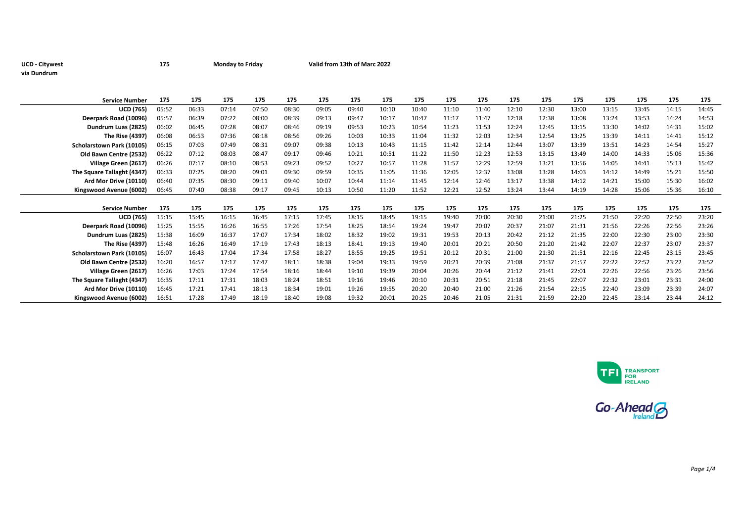## UCD - Citywest 175 Monday to Friday Valid from 13th of Marc 2022 via Dundrum

| <b>Service Number</b>      | 175   | 175   | 175   | 175   | 175   | 175   | 175   | 175   | 175   | 175   | 175   | 175   | 175   | 175   | 175   | 175   | 175   | 175   |
|----------------------------|-------|-------|-------|-------|-------|-------|-------|-------|-------|-------|-------|-------|-------|-------|-------|-------|-------|-------|
| <b>UCD (765)</b>           | 05:52 | 06:33 | 07:14 | 07:50 | 08:30 | 09:05 | 09:40 | 10:10 | 10:40 | 11:10 | 11:40 | 12:10 | 12:30 | 13:00 | 13:15 | 13:45 | 14:15 | 14:45 |
| Deerpark Road (10096)      | 05:57 | 06:39 | 07:22 | 08:00 | 08:39 | 09:13 | 09:47 | 10:17 | 10:47 | 11:17 | 11:47 | 12:18 | 12:38 | 13:08 | 13:24 | 13:53 | 14:24 | 14:53 |
| Dundrum Luas (2825)        | 06:02 | 06:45 | 07:28 | 08:07 | 08:46 | 09:19 | 09:53 | 10:23 | 10:54 | 11:23 | 11:53 | 12:24 | 12:45 | 13:15 | 13:30 | 14:02 | 14:31 | 15:02 |
| <b>The Rise (4397)</b>     | 06:08 | 06:53 | 07:36 | 08:18 | 08:56 | 09:26 | 10:03 | 10:33 | 11:04 | 11:32 | 12:03 | 12:34 | 12:54 | 13:25 | 13:39 | 14:11 | 14:41 | 15:12 |
| Scholarstown Park (10105)  | 06:15 | 07:03 | 07:49 | 08:31 | 09:07 | 09:38 | 10:13 | 10:43 | 11:15 | 11:42 | 12:14 | 12:44 | 13:07 | 13:39 | 13:51 | 14:23 | 14:54 | 15:27 |
| Old Bawn Centre (2532)     | 06:22 | 07:12 | 08:03 | 08:47 | 09:17 | 09:46 | 10:21 | 10:51 | 11:22 | 11:50 | 12:23 | 12:53 | 13:15 | 13:49 | 14:00 | 14:33 | 15:06 | 15:36 |
| Village Green (2617)       | 06:26 | 07:17 | 08:10 | 08:53 | 09:23 | 09:52 | 10:27 | 10:57 | 11:28 | 11:57 | 12:29 | 12:59 | 13:21 | 13:56 | 14:05 | 14:41 | 15:13 | 15:42 |
| The Square Tallaght (4347) | 06:33 | 07:25 | 08:20 | 09:01 | 09:30 | 09:59 | 10:35 | 11:05 | 11:36 | 12:05 | 12:37 | 13:08 | 13:28 | 14:03 | 14:12 | 14:49 | 15:21 | 15:50 |
| Ard Mor Drive (10110)      | 06:40 | 07:35 | 08:30 | 09:11 | 09:40 | 10:07 | 10:44 | 11:14 | 11:45 | 12:14 | 12:46 | 13:17 | 13:38 | 14:12 | 14:21 | 15:00 | 15:30 | 16:02 |
| Kingswood Avenue (6002)    | 06:45 | 07:40 | 08:38 | 09:17 | 09:45 | 10:13 | 10:50 | 11:20 | 11:52 | 12:21 | 12:52 | 13:24 | 13:44 | 14:19 | 14:28 | 15:06 | 15:36 | 16:10 |
|                            |       |       |       |       |       |       |       |       |       |       |       |       |       |       |       |       |       |       |
| <b>Service Number</b>      | 175   | 175   | 175   | 175   | 175   | 175   | 175   | 175   | 175   | 175   | 175   | 175   | 175   | 175   | 175   | 175   | 175   | 175   |
| <b>UCD (765)</b>           | 15:15 | 15:45 | 16:15 | 16:45 | 17:15 | 17:45 | 18:15 | 18:45 | 19:15 | 19:40 | 20:00 | 20:30 | 21:00 | 21:25 | 21:50 | 22:20 | 22:50 | 23:20 |
| Deerpark Road (10096)      | 15:25 | 15:55 | 16:26 | 16:55 | 17:26 | 17:54 | 18:25 | 18:54 | 19:24 | 19:47 | 20:07 | 20:37 | 21:07 | 21:31 | 21:56 | 22:26 | 22:56 | 23:26 |
| Dundrum Luas (2825)        | 15:38 | 16:09 | 16:37 | 17:07 | 17:34 | 18:02 | 18:32 | 19:02 | 19:31 | 19:53 | 20:13 | 20:42 | 21:12 | 21:35 | 22:00 | 22:30 | 23:00 | 23:30 |
| The Rise (4397)            | 15:48 | 16:26 | 16:49 | 17:19 | 17:43 | 18:13 | 18:41 | 19:13 | 19:40 | 20:01 | 20:21 | 20:50 | 21:20 | 21:42 | 22:07 | 22:37 | 23:07 | 23:37 |
| Scholarstown Park (10105)  | 16:07 | 16:43 | 17:04 | 17:34 | 17:58 | 18:27 | 18:55 | 19:25 | 19:51 | 20:12 | 20:31 | 21:00 | 21:30 | 21:51 | 22:16 | 22:45 | 23:15 | 23:45 |
| Old Bawn Centre (2532)     | 16:20 | 16:57 | 17:17 | 17:47 | 18:11 | 18:38 | 19:04 | 19:33 | 19:59 | 20:21 | 20:39 | 21:08 | 21:37 | 21:57 | 22:22 | 22:52 | 23:22 | 23:52 |
| Village Green (2617)       | 16:26 | 17:03 | 17:24 | 17:54 | 18:16 | 18:44 | 19:10 | 19:39 | 20:04 | 20:26 | 20:44 | 21:12 | 21:41 | 22:01 | 22:26 | 22:56 | 23:26 | 23:56 |
| The Square Tallaght (4347) | 16:35 | 17:11 | 17:31 | 18:03 | 18:24 | 18:51 | 19:16 | 19:46 | 20:10 | 20:31 | 20:51 | 21:18 | 21:45 | 22:07 | 22:32 | 23:01 | 23:31 | 24:00 |
| Ard Mor Drive (10110)      | 16:45 | 17:21 | 17:41 | 18:13 | 18:34 | 19:01 | 19:26 | 19:55 | 20:20 | 20:40 | 21:00 | 21:26 | 21:54 | 22:15 | 22:40 | 23:09 | 23:39 | 24:07 |
| Kingswood Avenue (6002)    | 16:51 | 17:28 | 17:49 | 18:19 | 18:40 | 19:08 | 19:32 | 20:01 | 20:25 | 20:46 | 21:05 | 21:31 | 21:59 | 22:20 | 22:45 | 23:14 | 23:44 | 24:12 |



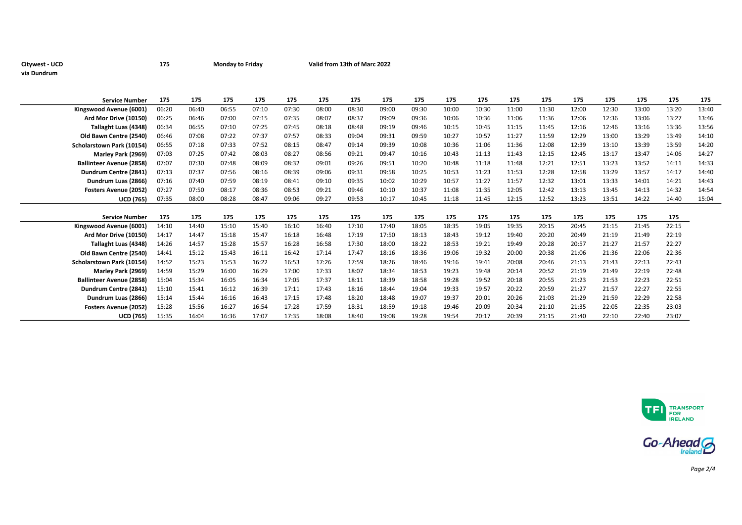## Citywest - UCD **175** Monday to Friday Valid from 13th of Marc 2022 via Dundrum

| <b>Service Number</b>           | 175   | 175   | 175   | 175   | 175   | 175   | 175   | 175   | 175   | 175   | 175   | 175   | 175   | 175   | 175   | 175   | 175   | 175   |
|---------------------------------|-------|-------|-------|-------|-------|-------|-------|-------|-------|-------|-------|-------|-------|-------|-------|-------|-------|-------|
| Kingswood Avenue (6001)         | 06:20 | 06:40 | 06:55 | 07:10 | 07:30 | 08:00 | 08:30 | 09:00 | 09:30 | 10:00 | 10:30 | 11:00 | 11:30 | 12:00 | 12:30 | 13:00 | 13:20 | 13:40 |
| Ard Mor Drive (10150)           | 06:25 | 06:46 | 07:00 | 07:15 | 07:35 | 08:07 | 08:37 | 09:09 | 09:36 | 10:06 | 10:36 | 11:06 | 11:36 | 12:06 | 12:36 | 13:06 | 13:27 | 13:46 |
| Tallaght Luas (4348)            | 06:34 | 06:55 | 07:10 | 07:25 | 07:45 | 08:18 | 08:48 | 09:19 | 09:46 | 10:15 | 10:45 | 11:15 | 11:45 | 12:16 | 12:46 | 13:16 | 13:36 | 13:56 |
| Old Bawn Centre (2540)          | 06:46 | 07:08 | 07:22 | 07:37 | 07:57 | 08:33 | 09:04 | 09:31 | 09:59 | 10:27 | 10:57 | 11:27 | 11:59 | 12:29 | 13:00 | 13:29 | 13:49 | 14:10 |
| Scholarstown Park (10154)       | 06:55 | 07:18 | 07:33 | 07:52 | 08:15 | 08:47 | 09:14 | 09:39 | 10:08 | 10:36 | 11:06 | 11:36 | 12:08 | 12:39 | 13:10 | 13:39 | 13:59 | 14:20 |
| Marley Park (2969)              | 07:03 | 07:25 | 07:42 | 08:03 | 08:27 | 08:56 | 09:21 | 09:47 | 10:16 | 10:43 | 11:13 | 11:43 | 12:15 | 12:45 | 13:17 | 13:47 | 14:06 | 14:27 |
| <b>Ballinteer Avenue (2858)</b> | 07:07 | 07:30 | 07:48 | 08:09 | 08:32 | 09:01 | 09:26 | 09:51 | 10:20 | 10:48 | 11:18 | 11:48 | 12:21 | 12:51 | 13:23 | 13:52 | 14:11 | 14:33 |
| Dundrum Centre (2841)           | 07:13 | 07:37 | 07:56 | 08:16 | 08:39 | 09:06 | 09:31 | 09:58 | 10:25 | 10:53 | 11:23 | 11:53 | 12:28 | 12:58 | 13:29 | 13:57 | 14:17 | 14:40 |
| Dundrum Luas (2866)             | 07:16 | 07:40 | 07:59 | 08:19 | 08:41 | 09:10 | 09:35 | 10:02 | 10:29 | 10:57 | 11:27 | 11:57 | 12:32 | 13:01 | 13:33 | 14:01 | 14:21 | 14:43 |
| <b>Fosters Avenue (2052)</b>    | 07:27 | 07:50 | 08:17 | 08:36 | 08:53 | 09:21 | 09:46 | 10:10 | 10:37 | 11:08 | 11:35 | 12:05 | 12:42 | 13:13 | 13:45 | 14:13 | 14:32 | 14:54 |
| <b>UCD (765)</b>                | 07:35 | 08:00 | 08:28 | 08:47 | 09:06 | 09:27 | 09:53 | 10:17 | 10:45 | 11:18 | 11:45 | 12:15 | 12:52 | 13:23 | 13:51 | 14:22 | 14:40 | 15:04 |
|                                 |       |       |       |       |       |       |       |       |       |       |       |       |       |       |       |       |       |       |
| <b>Service Number</b>           | 175   | 175   | 175   | 175   | 175   | 175   | 175   | 175   | 175   | 175   | 175   | 175   | 175   | 175   | 175   | 175   | 175   |       |
| Kingswood Avenue (6001)         | 14:10 | 14:40 | 15:10 | 15:40 | 16:10 | 16:40 | 17:10 | 17:40 | 18:05 | 18:35 | 19:05 | 19:35 | 20:15 | 20:45 | 21:15 | 21:45 | 22:15 |       |
| Ard Mor Drive (10150)           | 14:17 | 14:47 | 15:18 | 15:47 | 16:18 | 16:48 | 17:19 | 17:50 | 18:13 | 18:43 | 19:12 | 19:40 | 20:20 | 20:49 | 21:19 | 21:49 | 22:19 |       |
| Tallaght Luas (4348)            | 14:26 | 14:57 | 15:28 | 15:57 | 16:28 | 16:58 | 17:30 | 18:00 | 18:22 | 18:53 | 19:21 | 19:49 | 20:28 | 20:57 | 21:27 | 21:57 | 22:27 |       |
| Old Bawn Centre (2540)          | 14:41 | 15:12 | 15:43 | 16:11 | 16:42 | 17:14 | 17:47 | 18:16 | 18:36 | 19:06 | 19:32 | 20:00 | 20:38 | 21:06 | 21:36 | 22:06 | 22:36 |       |
| Scholarstown Park (10154)       | 14:52 | 15:23 | 15:53 | 16:22 | 16:53 | 17:26 | 17:59 | 18:26 | 18:46 | 19:16 | 19:41 | 20:08 | 20:46 | 21:13 | 21:43 | 22:13 | 22:43 |       |
| Marley Park (2969)              | 14:59 | 15:29 | 16:00 | 16:29 | 17:00 | 17:33 | 18:07 | 18:34 | 18:53 | 19:23 | 19:48 | 20:14 | 20:52 | 21:19 | 21:49 | 22:19 | 22:48 |       |
| <b>Ballinteer Avenue (2858)</b> | 15:04 | 15:34 | 16:05 | 16:34 | 17:05 | 17:37 | 18:11 | 18:39 | 18:58 | 19:28 | 19:52 | 20:18 | 20:55 | 21:23 | 21:53 | 22:23 | 22:51 |       |
| Dundrum Centre (2841)           |       |       |       |       |       |       |       |       |       | 19:33 | 19:57 | 20:22 | 20:59 | 21:27 | 21:57 | 22:27 | 22:55 |       |
|                                 | 15:10 | 15:41 | 16:12 | 16:39 | 17:11 | 17:43 | 18:16 | 18:44 | 19:04 |       |       |       |       |       |       |       |       |       |
| Dundrum Luas (2866)             | 15:14 | 15:44 | 16:16 | 16:43 | 17:15 | 17:48 | 18:20 | 18:48 | 19:07 | 19:37 | 20:01 | 20:26 | 21:03 | 21:29 | 21:59 | 22:29 | 22:58 |       |
| <b>Fosters Avenue (2052)</b>    | 15:28 | 15:56 | 16:27 | 16:54 | 17:28 | 17:59 | 18:31 | 18:59 | 19:18 | 19:46 | 20:09 | 20:34 | 21:10 | 21:35 | 22:05 | 22:35 | 23:03 |       |





Page 2/4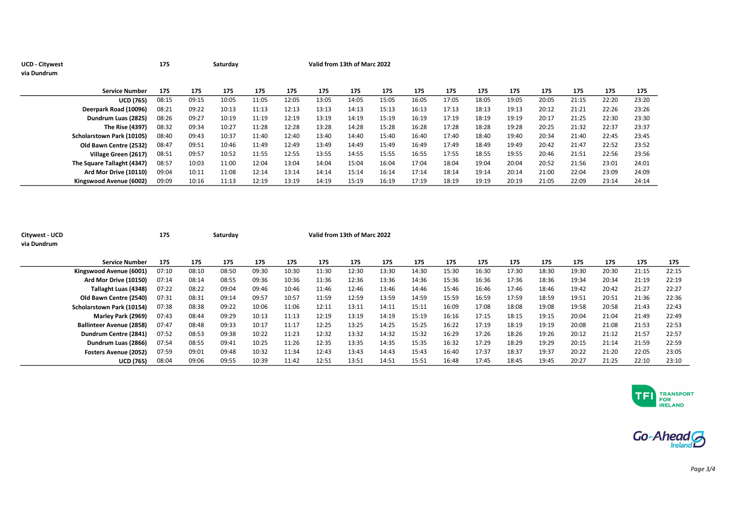| <b>UCD - Citywest</b> |                            | 175   |       | Saturday | Valid from 13th of Marc 2022 |       |       |       |       |       |       |       |       |       |       |       |       |
|-----------------------|----------------------------|-------|-------|----------|------------------------------|-------|-------|-------|-------|-------|-------|-------|-------|-------|-------|-------|-------|
| via Dundrum           |                            |       |       |          |                              |       |       |       |       |       |       |       |       |       |       |       |       |
|                       | <b>Service Number</b>      | 175   | 175   | 175      | 175                          | 175   | 175   | 175   | 175   | 175   | 175   | 175   | 175   | 175   | 175   | 175   | 175   |
|                       | <b>UCD (765)</b>           | 08:15 | 09:15 | 10:05    | 11:05                        | 12:05 | 13:05 | 14:05 | 15:05 | 16:05 | 17:05 | 18:05 | 19:05 | 20:05 | 21:15 | 22:20 | 23:20 |
|                       | Deerpark Road (10096)      | 08:21 | 09:22 | 10:13    | 11:13                        | 12:13 | 13:13 | 14:13 | 15:13 | 16:13 | 17:13 | 18:13 | 19:13 | 20:12 | 21:21 | 22:26 | 23:26 |
|                       | Dundrum Luas (2825)        | 08:26 | 09:27 | 10:19    | 11:19                        | 12:19 | 13:19 | 14:19 | 15:19 | 16:19 | 17:19 | 18:19 | 19:19 | 20:17 | 21:25 | 22:30 | 23:30 |
|                       | <b>The Rise (4397)</b>     | 08:32 | 09:34 | 10:27    | 11:28                        | 12:28 | 13:28 | 14:28 | 15:28 | 16:28 | 17:28 | 18:28 | 19:28 | 20:25 | 21:32 | 22:37 | 23:37 |
|                       | Scholarstown Park (10105)  | 08:40 | 09:43 | 10:37    | 11:40                        | 12:40 | 13:40 | 14:40 | 15:40 | 16:40 | 17:40 | 18:40 | 19:40 | 20:34 | 21:40 | 22:45 | 23:45 |
|                       | Old Bawn Centre (2532)     | 08:47 | 09:51 | 10:46    | 11:49                        | 12:49 | 13:49 | 14:49 | 15:49 | 16:49 | 17:49 | 18:49 | 19:49 | 20:42 | 21:47 | 22:52 | 23:52 |
|                       | Village Green (2617)       | 08:51 | 09:57 | 10:52    | 11:55                        | 12:55 | 13:55 | 14:55 | 15:55 | 16:55 | 17:55 | 18:55 | 19:55 | 20:46 | 21:51 | 22:56 | 23:56 |
|                       | The Square Tallaght (4347) | 08:57 | 10:03 | 11:00    | 12:04                        | 13:04 | 14:04 | 15:04 | 16:04 | 17:04 | 18:04 | 19:04 | 20:04 | 20:52 | 21:56 | 23:01 | 24:01 |
|                       | Ard Mor Drive (10110)      | 09:04 | 10:11 | 11:08    | 12:14                        | 13:14 | 14:14 | 15:14 | 16:14 | 17:14 | 18:14 | 19:14 | 20:14 | 21:00 | 22:04 | 23:09 | 24:09 |
|                       | Kingswood Avenue (6002)    | 09:09 | 10:16 | 11:13    | 12:19                        | 13:19 | 14:19 | 15:19 | 16:19 | 17:19 | 18:19 | 19:19 | 20:19 | 21:05 | 22:09 | 23:14 | 24:14 |

| Citywest - UCD<br>via Dundrum |                                 | 175   |       | Saturday |       |       | Valid from 13th of Marc 2022 |       |       |       |       |       |       |       |       |       |       |       |
|-------------------------------|---------------------------------|-------|-------|----------|-------|-------|------------------------------|-------|-------|-------|-------|-------|-------|-------|-------|-------|-------|-------|
|                               | <b>Service Number</b>           | 175   | 175   | 175      | 175   | 175   | 175                          | 175   | 175   | 175   | 175   | 175   | 175   | 175   | 175   | 175   | 175   | 175   |
|                               | Kingswood Avenue (6001)         | 07:10 | 08:10 | 08:50    | 09:30 | 10:30 | 11:30                        | 12:30 | 13:30 | 14:30 | 15:30 | 16:30 | 17:30 | 18:30 | 19:30 | 20:30 | 21:15 | 22:15 |
|                               | Ard Mor Drive (10150)           | 07:14 | 08:14 | 08:55    | 09:36 | 10:36 | 11:36                        | 12:36 | 13:36 | 14:36 | 15:36 | 16:36 | 17:36 | 18:36 | 19:34 | 20:34 | 21:19 | 22:19 |
|                               | Tallaght Luas (4348)            | 07:22 | 08:22 | 09:04    | 09:46 | 10:46 | 11:46                        | 12:46 | 13:46 | 14:46 | 15:46 | 16:46 | 17:46 | 18:46 | 19:42 | 20:42 | 21:27 | 22:27 |
|                               | Old Bawn Centre (2540)          | 07:31 | 08:31 | 09:14    | 09:57 | 10:57 | 11:59                        | 12:59 | 13:59 | 14:59 | 15:59 | 16:59 | 17:59 | 18:59 | 19:51 | 20:51 | 21:36 | 22:36 |
|                               | Scholarstown Park (10154)       | 07:38 | 08:38 | 09:22    | 10:06 | 11:06 | 12:11                        | 13:11 | 14:11 | 15:11 | 16:09 | 17:08 | 18:08 | 19:08 | 19:58 | 20:58 | 21:43 | 22:43 |
|                               | Marley Park (2969)              | 07:43 | 08:44 | 09:29    | 10:13 | 11:13 | 12:19                        | 13:19 | 14:19 | 15:19 | 16:16 | 17:15 | 18:15 | 19:15 | 20:04 | 21:04 | 21:49 | 22:49 |
|                               | <b>Ballinteer Avenue (2858)</b> | 07:47 | 08:48 | 09:33    | 10:17 | 11:17 | 12:25                        | 13:25 | 14:25 | 15:25 | 16:22 | 17:19 | 18:19 | 19:19 | 20:08 | 21:08 | 21:53 | 22:53 |
|                               | Dundrum Centre (2841)           | 07:52 | 08:53 | 09:38    | 10:22 | 11:23 | 12:32                        | 13:32 | 14:32 | 15:32 | 16:29 | 17:26 | 18:26 | 19:26 | 20:12 | 21:12 | 21:57 | 22:57 |
|                               | Dundrum Luas (2866)             | 07:54 | 08:55 | 09:41    | 10:25 | 11:26 | 12:35                        | 13:35 | 14:35 | 15:35 | 16:32 | 17:29 | 18:29 | 19:29 | 20:15 | 21:14 | 21:59 | 22:59 |
|                               | <b>Fosters Avenue (2052)</b>    | 07:59 | 09:01 | 09:48    | 10:32 | 11:34 | 12:43                        | 13:43 | 14:43 | 15:43 | 16:40 | 17:37 | 18:37 | 19:37 | 20:22 | 21:20 | 22:05 | 23:05 |
|                               | <b>UCD (765)</b>                | 08:04 | 09:06 | 09:55    | 10:39 | 11:42 | 12:51                        | 13:51 | 14:51 | 15:51 | 16:48 | 17:45 | 18:45 | 19:45 | 20:27 | 21:25 | 22:10 | 23:10 |